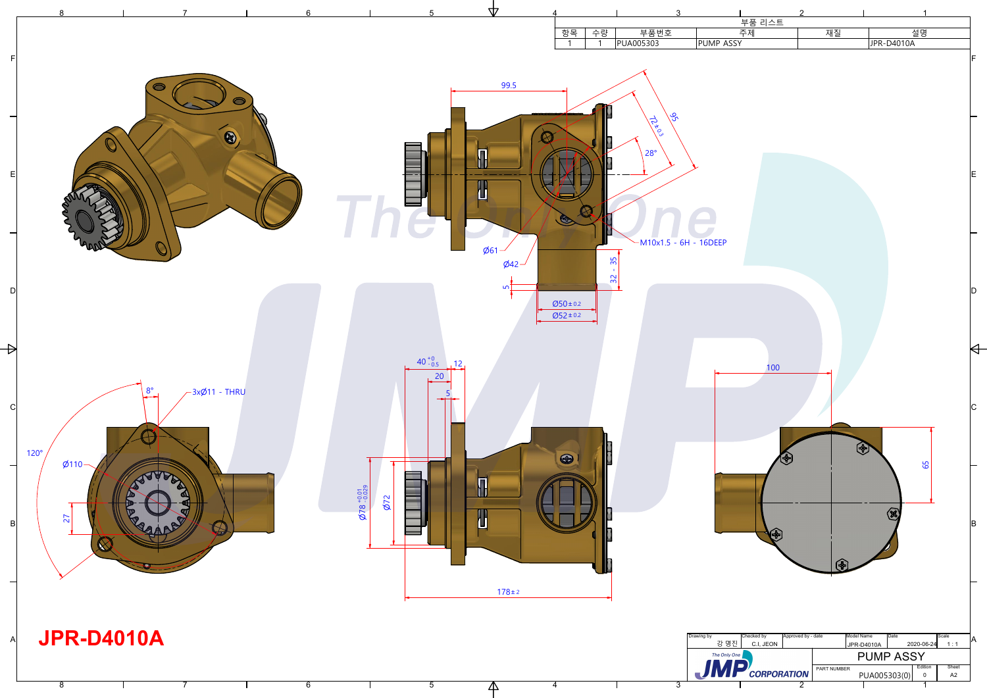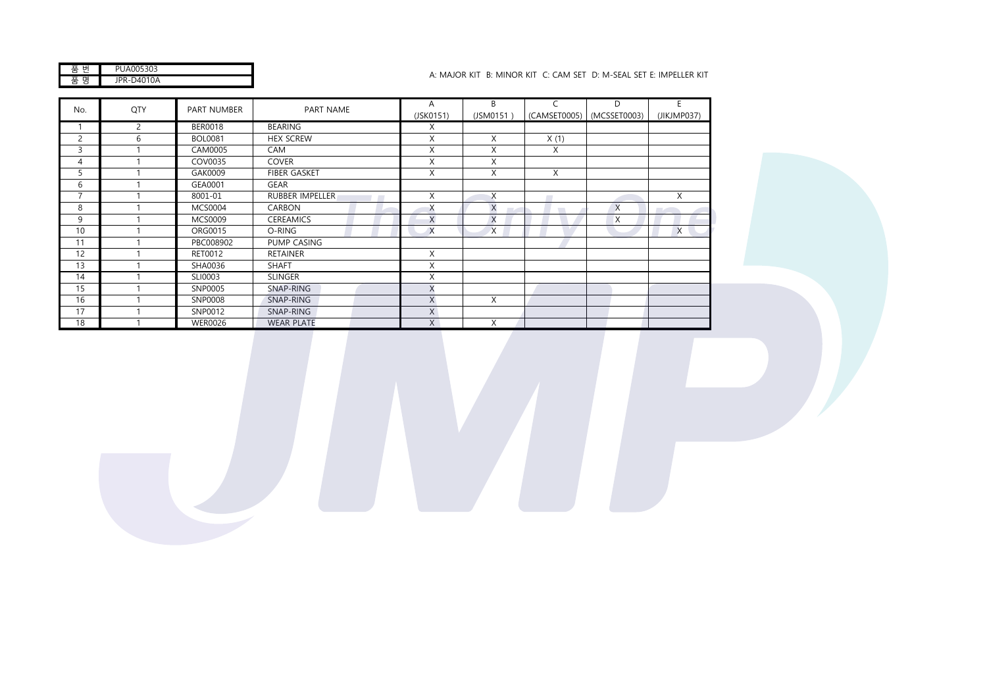| JA005303<br>ΡL |
|----------------|
| R-D4010A       |

## JPR-D4010A A: MAJOR KIT B: MINOR KIT C: CAM SET D: M-SEAL SET E: IMPELLER KIT

| No.            | QTY | PART NUMBER    | PART NAME              | A         | B              |      | D                           | E.                                |
|----------------|-----|----------------|------------------------|-----------|----------------|------|-----------------------------|-----------------------------------|
|                |     |                |                        | (JSK0151) | (JSM0151)      |      | (CAMSET0005)   (MCSSET0003) | (JIKJMP037)                       |
|                | 2   | <b>BER0018</b> | <b>BEARING</b>         | X         |                |      |                             |                                   |
| $\overline{c}$ | 6   | <b>BOL0081</b> | <b>HEX SCREW</b>       | X         | X              | X(1) |                             |                                   |
| 3              |     | CAM0005        | CAM                    | X         | X              | X    |                             |                                   |
| 4              |     | COV0035        | <b>COVER</b>           | X         | X              |      |                             |                                   |
| 5              |     | GAK0009        | <b>FIBER GASKET</b>    | X         | X              | X    |                             |                                   |
| 6              |     | GEA0001        | <b>GEAR</b>            |           |                |      |                             |                                   |
| $\overline{7}$ |     | 8001-01        | <b>RUBBER IMPELLER</b> | X         | X              |      |                             | X                                 |
| 8              |     | <b>MCS0004</b> | <b>CARBON</b>          | X         | $\times$<br>m. |      | $\times$                    | <b>Contract Contract Contract</b> |
| 9              |     | <b>MCS0009</b> | <b>CEREAMICS</b>       | X         | X              |      | X                           |                                   |
| 10             |     | ORG0015        | O-RING                 | $\times$  | $\times$       |      |                             | X                                 |
| 11             |     | PBC008902      | PUMP CASING            |           |                |      |                             |                                   |
| 12             |     | RET0012        | <b>RETAINER</b>        | X         |                |      |                             |                                   |
| 13             |     | SHA0036        | <b>SHAFT</b>           | X         |                |      |                             |                                   |
| 14             |     | SLI0003        | <b>SLINGER</b>         | X         |                |      |                             |                                   |
| 15             |     | SNP0005        | SNAP-RING              | X         |                |      |                             |                                   |
| 16             |     | SNP0008        | SNAP-RING              | X         | X              |      |                             |                                   |
| 17             |     | SNP0012        | SNAP-RING              | X         |                |      |                             |                                   |
| 18             |     | <b>WER0026</b> | <b>WEAR PLATE</b>      | X         | X              |      |                             |                                   |